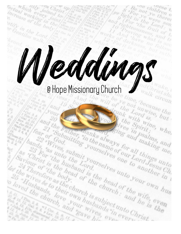# Weddings

no children t

Be not ye there

For yo Working

Beht in the Were a

unk Lord to, but

the Spirit, who,

 $4nq$ 

orthe Lord;

theonismess and the three what is

tual working in the

20

bands, as unto the Louis

and the

as christ is the husb.

ectual working in the

increase of the body

stify in the Lord<br>or Gentiles Ford,

or Gentiles Walk,

Tear of Submitting Sing and Dealing, who, the submitting the south of the number of the boat of the change of the change of the change of the change of the change of the change of the change of the change of the change of

ands, have as the head of the head of the wife, even the church is subject und he is the church is and the church is the church is subject unto the stand of the church is subject unto the church is subject unto the church

as 23 For the bound is the head of the wife, even the church and is the change of the wife, even the change of the change of the change of the change of the change of the change of the change of the change of the change of

Saviourist is the head of the bead of the wires of the diaband is the head of the wires of the bead of the wires of the church is subject the wife,

Let the wivel the bead is the head of the 25 wivel the bead is the head of the 25 wivel the bead is the head of the church of the bear of the church; and is a send of the bead of the send the church is subject into the sen

the wives to body, or the church is subject unable the church is subject unable to the church is subject unable to the church is subject unable to the church is subject unable to the church of the church is subject unable

26 "Rives be to as the church is sub-

and the hather thanks and the bead of the head of the head of the head of the head of the head of the head of the head of the head of the head of the head of the head of the head of the head of the head of the head of the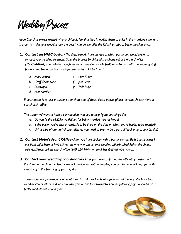# Wedding Process

*Hope Church is always excited when individuals feel that God is leading them to unite in the marriage covenant! In order to make your wedding day the best it can be, we offer the following steps to begin the planning…*

- **1.** *Contact an HMC pastor- You likely already have an idea of which pastor you would prefer to conduct your wedding ceremony. Start the process by giving him a phone call at the church office (260-824-1844) or email him through the church website (www.hope4thefamily.com/staff). The following staff pastors are able to conduct marriage ceremonies at Hope Church:*
	- *a. Mark Wilson e. Chris Kuntz*
	- *b. Geoff Cocanower f. Josh Nash*
	- *c. Ross Kilgore g. Todd Rupp*
	- *d. Kent Koteskey*

*If your intent is to ask a pastor other than one of those listed above, please contact Pastor Kent in our church office.*

*The pastor will want to have a conversation with you to help figure out things like:* 

- *a. Do you fit the eligibility guidelines for being married here at Hope?*
- *b. ls the pastor you've chosen available to be there on the date on which you're hoping to be married?*
- *c. What type of premarital counseling do you need to plan to be a part of leading up to your big day?*
- **2.** *Contact Hope's Front Office- After you have spoken with a pastor, contact Beth Baumgartner in our front office here at Hope. She's the one who can get your wedding officially scheduled on the church calendar. Simply call the church office (260-824-1844) or email her (beth@hopemc.org).*
- **3.** *Contact your wedding coordinator- After you have confirmed the officiating pastor and the date on the church calendar, we will provide you with a wedding coordinator who will help you with everything in the planning of your big day.*

*These ladies are professionals at what they do and they'll walk alongside you all the way! We have two*  wedding coordinators, and we encourage you to read their biographies on the following page so you'll have a *pretty good idea of who they are.*

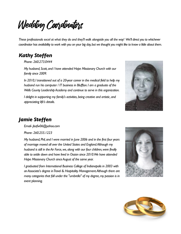Wedding Coordinators

*These professionals excel at what they do and they'll walk alongside you all the way! We'll direct you to whichever coordinator has availability to work with you on your big day, but we thought you might like to know a little about them.* 

# *Kathy Steffen*

*Phone- 260.273.0444*

*My husband, Scott, and I have attended Hope Missionary Church with our family since 2009.*

*In 2010, I transitioned out of a 20-year career in the medical field to help my husband run his computer / IT business in Bluffton. I am a graduate of the Wells County Leadership Academy and continue to serve in this organization.*

*I* delight in supporting my family's activities, being creative and artistic, and *appreciating life's details.*



# *Jamie Steffen*

*Email- jlsafw06@yahoo.com* 

*Phone- 260.255.1223*

*My husband, Phil, and I were married in June 2006 and in the first four years of marriage moved all over the United States and England. Although my husband is still in the Air Force, we, along with our four children, were finally able to settle down and have lived in Ossian since 2010. We have attended Hope Missionary Church since August of the same year.*

*I graduated from International Business College of Indianapolis in 2003 with an Associate's degree in Travel & Hospitality Management. Although there are many categories that fall under the "umbrella" of my degree, my passion is in event planning.*



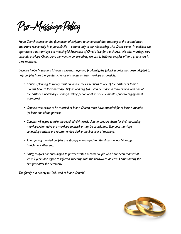Pro-Marriage Policy

*Hope Church stands on the foundation of scripture to understand that marriage is the second most important relationship in a person's life— second only to our relationship with Christ alone. In addition, we appreciate that marriage is a meaningful illustration of Christ's love for the church. We take marriage very seriously at Hope Church, and we want to do everything we can to help get couples off to a great start in their marriage!* 

*Because Hope Missionary Church is pro-marriage and pro-family, the following policy has been adopted to help couples have the greatest chance of success in their marriage as possible.*

- *• Couples planning to marry must announce their intentions to one of the pastors at least 6 months prior to their marriage. Before wedding plans can be made, a conversation with one of the pastors is necessary. Further, a dating period of at least 6-12 months prior to engagement is required.*
- *• Couples who desire to be married at Hope Church must have attended for at least 6 months (at least one of the parties).*
- *• Couples will agree to take the required eight-week class to prepare them for their upcoming marriage. Alternative pre-marriage counseling may be substituted. Two post-marriage counseling sessions are recommended during the first year of marriage.*
- *• After getting married, couples are strongly encouraged to attend our annual Marriage Enrichment Weekend.*
- *• Lastly, couples are encouraged to partner with a mentor couple who have been married at least 5 years and agree to informal meetings with the newlyweds at least 3 times during the first year after the ceremony.*

*The family is a priority to God... and to Hope Church!*

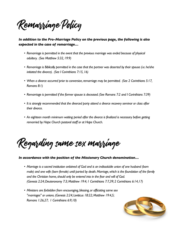Remarriage Policy

### *In addition to the Pro-Marriage Policy on the previous page, the following is also expected in the case of remarriage…*

- Remarriage is permitted in the event that the previous marriage was ended because of physical *adultery. (See Matthew 5:32, 19:9)*
- *• Remarriage is Biblically permitted in the case that the partner was deserted by their spouse (i.e. he/she initiated the divorce). (See I Corinthians 7:15, 16)*
- *• When a divorce occurred prior to conversion, remarriage may be permitted. (See 2 Corinthians 5:17, Romans 8:1)*
- *• Remarriage is permitted if the former spouse is deceased. (See Romans 7:2 and I Corinthians 7:39)*
- *• It is strongly recommended that the divorced party attend a divorce recovery seminar or class after their divorce.*
- An eighteen month minimum waiting period after the divorce is finalized is necessary before getting *remarried by Hope Church pastoral staff or at Hope Church.*

Regarding same sex marriage

### *In accordance with the position of the Missionary Church denomination…*

- *• Marriage is a sacred institution ordained of God and is an indissoluble union of one husband (born male) and one wife (born female) until parted by death. Marriage, which is the foundation of the family and the Christian home, should only be entered into in the fear and will of God. (Genesis 2:24; Deuteronomy 7:3; Matthew 19:4; 1 Corinthians 7:7,39; 2 Corinthians 6:14,17)*
- *• Ministers are forbidden from encouraging, blessing, or officiating same sex "marriages" or unions. (Genesis 2:24; Leviticus 18:22; Matthew 19:4,5; Romans 1:26,27; 1 Corinthians 6:9,10)*